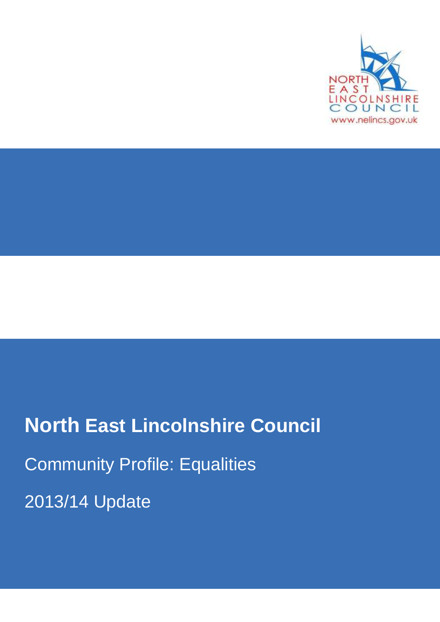

# **North East Lincolnshire Council** Community Profile: Equalities 2013/14 Update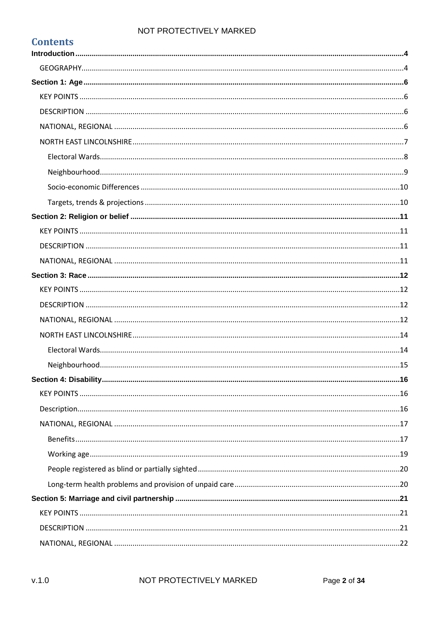| <b>Contents</b> |  |
|-----------------|--|
|                 |  |
|                 |  |
|                 |  |
|                 |  |
|                 |  |
|                 |  |
|                 |  |
|                 |  |
|                 |  |
|                 |  |
|                 |  |
|                 |  |
|                 |  |
|                 |  |
|                 |  |
|                 |  |
|                 |  |
|                 |  |
|                 |  |
|                 |  |
|                 |  |
|                 |  |
|                 |  |
|                 |  |
|                 |  |
|                 |  |
|                 |  |
|                 |  |
|                 |  |
|                 |  |
|                 |  |
|                 |  |
|                 |  |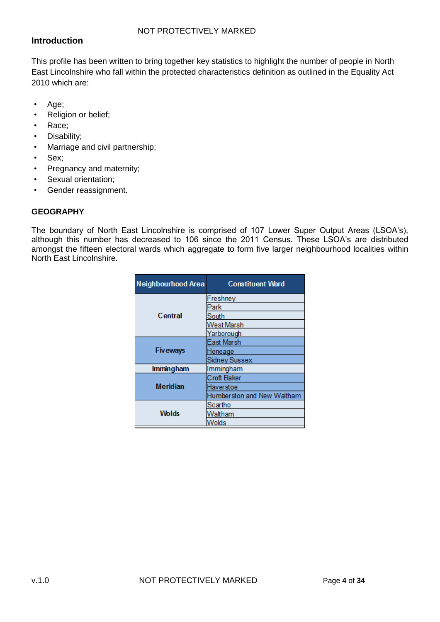# <span id="page-3-0"></span>**Introduction**

This profile has been written to bring together key statistics to highlight the number of people in North East Lincolnshire who fall within the protected characteristics definition as outlined in the Equality Act 2010 which are:

- Age;
- Religion or belief;
- Race;
- Disability;
- Marriage and civil partnership;
- Sex;
- Pregnancy and maternity;
- Sexual orientation;
- Gender reassignment.

#### <span id="page-3-1"></span>**GEOGRAPHY**

The boundary of North East Lincolnshire is comprised of 107 Lower Super Output Areas (LSOA's), although this number has decreased to 106 since the 2011 Census. These LSOA's are distributed amongst the fifteen electoral wards which aggregate to form five larger neighbourhood localities within North East Lincolnshire.

| Neighbourhood Area | <b>Constituent Ward</b>    |
|--------------------|----------------------------|
|                    | Freshney                   |
|                    | Park                       |
| Central            | South                      |
|                    | West Marsh                 |
|                    | Yarborough                 |
|                    | East Marsh                 |
| <b>Fiveways</b>    | Heneage                    |
|                    | <b>Sidney Sussex</b>       |
| Immingham          | Immingham                  |
|                    | <b>Croft Baker</b>         |
| <b>Meridian</b>    | Haverstoe                  |
|                    | Humberston and New Waltham |
|                    | Scartho                    |
| Wolds              | Waltham                    |
|                    | Nolds                      |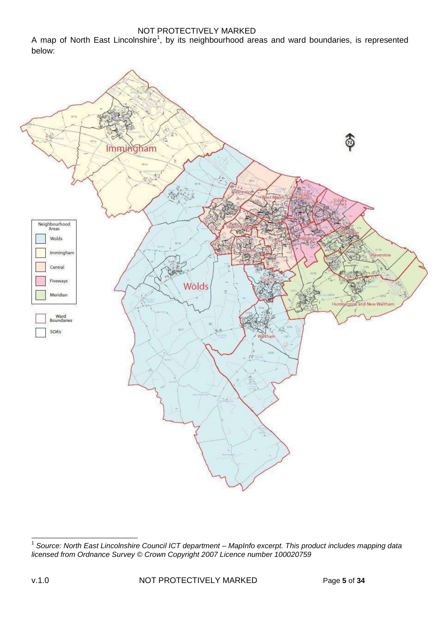A map of North East Lincolnshire<sup>1</sup>, by its neighbourhood areas and ward boundaries, is represented below:



 1 *Source: North East Lincolnshire Council ICT department – MapInfo excerpt. This product includes mapping data licensed from Ordnance Survey © Crown Copyright 2007 Licence number 100020759*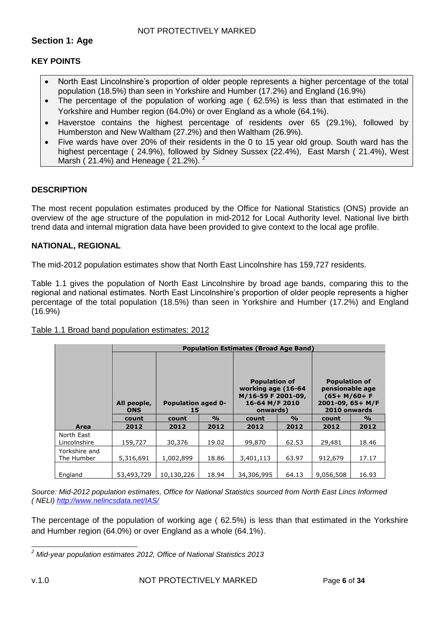#### <span id="page-5-1"></span><span id="page-5-0"></span>**KEY POINTS**

- North East Lincolnshire's proportion of older people represents a higher percentage of the total population (18.5%) than seen in Yorkshire and Humber (17.2%) and England (16.9%)
- The percentage of the population of working age ( 62.5%) is less than that estimated in the Yorkshire and Humber region (64.0%) or over England as a whole (64.1%).
- Haverstoe contains the highest percentage of residents over 65 (29.1%), followed by Humberston and New Waltham (27.2%) and then Waltham (26.9%).
- Five wards have over 20% of their residents in the 0 to 15 year old group. South ward has the highest percentage ( 24.9%), followed by Sidney Sussex (22.4%), East Marsh ( 21.4%), West Marsh (21.4%) and Heneage (21.2%).  $^{2}$

#### <span id="page-5-2"></span>**DESCRIPTION**

The most recent population estimates produced by the Office for National Statistics (ONS) provide an overview of the age structure of the population in mid-2012 for Local Authority level. National live birth trend data and internal migration data have been provided to give context to the local age profile.

#### <span id="page-5-3"></span>**NATIONAL, REGIONAL**

The mid-2012 population estimates show that North East Lincolnshire has 159,727 residents.

Table 1.1 gives the population of North East Lincolnshire by broad age bands, comparing this to the regional and national estimates. North East Lincolnshire's proportion of older people represents a higher percentage of the total population (18.5%) than seen in Yorkshire and Humber (17.2%) and England (16.9%)

|                             | <b>Population Estimates (Broad Age Band)</b> |                                 |               |                                                                                                |               |                                                                                               |               |  |  |  |
|-----------------------------|----------------------------------------------|---------------------------------|---------------|------------------------------------------------------------------------------------------------|---------------|-----------------------------------------------------------------------------------------------|---------------|--|--|--|
|                             | All people,<br><b>ONS</b>                    | <b>Population aged 0-</b><br>15 |               | <b>Population of</b><br>working age (16-64<br>M/16-59 F 2001-09,<br>16-64 M/F 2010<br>onwards) |               | <b>Population of</b><br>pensionable age<br>$(65+ M/60+F)$<br>2001-09, 65+ M/F<br>2010 onwards |               |  |  |  |
|                             | count                                        | count                           | $\frac{0}{0}$ | count                                                                                          | $\frac{0}{0}$ | count                                                                                         | $\frac{0}{0}$ |  |  |  |
| Area                        | 2012                                         | 2012                            | 2012          | 2012                                                                                           | 2012          | 2012                                                                                          | 2012          |  |  |  |
| North East<br>Lincolnshire  | 159,727                                      | 30,376                          | 19.02         | 99,870                                                                                         | 62.53         | 29,481                                                                                        | 18.46         |  |  |  |
| Yorkshire and<br>The Humber | 5,316,691                                    | 1,002,899                       | 18.86         | 3,401,113                                                                                      | 63.97         | 912,679                                                                                       | 17.17         |  |  |  |
| England                     | 53,493,729                                   | 10,130,226                      | 18.94         | 34,306,995                                                                                     | 64.13         | 9,056,508                                                                                     | 16.93         |  |  |  |

#### Table 1.1 Broad band population estimates: 2012

*Source: Mid-2012 population estimates, Office for National Statistics sourced from North East Lincs Informed ( NELI) <http://www.nelincsdata.net/IAS/>*

The percentage of the population of working age ( 62.5%) is less than that estimated in the Yorkshire and Humber region (64.0%) or over England as a whole (64.1%).

 $\overline{\phantom{a}}$ *<sup>2</sup> Mid-year population estimates 2012, Office of National Statistics 2013*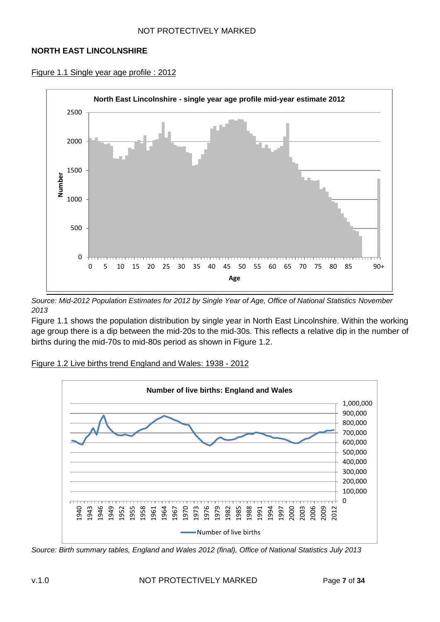#### <span id="page-6-0"></span>**NORTH EAST LINCOLNSHIRE**





*Source: Mid-2012 Population Estimates for 2012 by Single Year of Age, Office of National Statistics November 2013*

Figure 1.1 shows the population distribution by single year in North East Lincolnshire. Within the working age group there is a dip between the mid-20s to the mid-30s. This reflects a relative dip in the number of births during the mid-70s to mid-80s period as shown in Figure 1.2.





*Source: Birth summary tables, England and Wales 2012 (final), Office of National Statistics July 2013*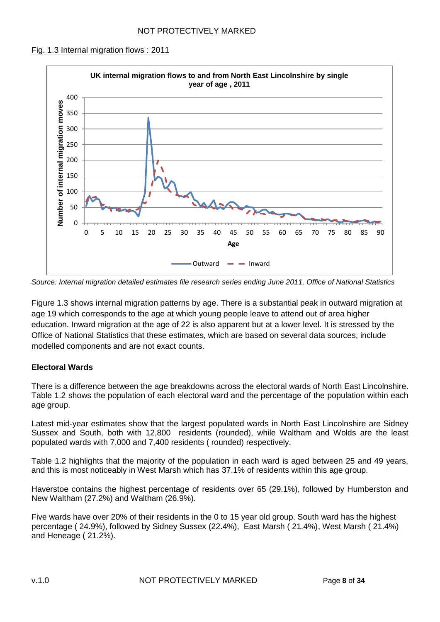#### Fig. 1.3 Internal migration flows : 2011



*Source: Internal migration detailed estimates file research series ending June 2011, Office of National Statistics*

Figure 1.3 shows internal migration patterns by age. There is a substantial peak in outward migration at age 19 which corresponds to the age at which young people leave to attend out of area higher education. Inward migration at the age of 22 is also apparent but at a lower level. It is stressed by the Office of National Statistics that these estimates, which are based on several data sources, include modelled components and are not exact counts.

#### <span id="page-7-0"></span>**Electoral Wards**

There is a difference between the age breakdowns across the electoral wards of North East Lincolnshire. Table 1.2 shows the population of each electoral ward and the percentage of the population within each age group.

Latest mid-year estimates show that the largest populated wards in North East Lincolnshire are Sidney Sussex and South, both with 12,800 residents (rounded), while Waltham and Wolds are the least populated wards with 7,000 and 7,400 residents ( rounded) respectively.

Table 1.2 highlights that the majority of the population in each ward is aged between 25 and 49 years, and this is most noticeably in West Marsh which has 37.1% of residents within this age group.

Haverstoe contains the highest percentage of residents over 65 (29.1%), followed by Humberston and New Waltham (27.2%) and Waltham (26.9%).

Five wards have over 20% of their residents in the 0 to 15 year old group. South ward has the highest percentage ( 24.9%), followed by Sidney Sussex (22.4%), East Marsh ( 21.4%), West Marsh ( 21.4%) and Heneage ( 21.2%).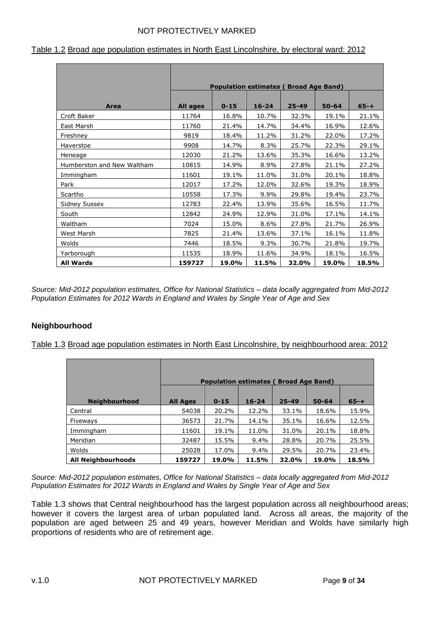|                            | <b>Population estimates (Broad Age Band)</b> |          |           |           |           |          |  |  |  |
|----------------------------|----------------------------------------------|----------|-----------|-----------|-----------|----------|--|--|--|
| Area                       | All ages                                     | $0 - 15$ | $16 - 24$ | $25 - 49$ | $50 - 64$ | $65 - +$ |  |  |  |
| Croft Baker                | 11764                                        | 16.8%    | 10.7%     | 32.3%     | 19.1%     | 21.1%    |  |  |  |
| East Marsh                 | 11760                                        | 21.4%    | 14.7%     | 34.4%     | 16.9%     | 12.6%    |  |  |  |
| Freshney                   | 9819                                         | 18.4%    | 11.2%     | 31.2%     | 22.0%     | 17.2%    |  |  |  |
| Haverstoe                  | 9908                                         | 14.7%    | 8.3%      | 25.7%     | 22.3%     | 29.1%    |  |  |  |
| Heneage                    | 12030                                        | 21.2%    | 13.6%     | 35.3%     | 16.6%     | 13.2%    |  |  |  |
| Humberston and New Waltham | 10815                                        | 14.9%    | 8.9%      | 27.8%     | 21.1%     | 27.2%    |  |  |  |
| Immingham                  | 11601                                        | 19.1%    | 11.0%     | 31.0%     | 20.1%     | 18.8%    |  |  |  |
| Park                       | 12017                                        | 17.2%    | 12.0%     | 32.6%     | 19.3%     | 18.9%    |  |  |  |
| Scartho                    | 10558                                        | 17.3%    | 9.9%      | 29.8%     | 19.4%     | 23.7%    |  |  |  |
| <b>Sidney Sussex</b>       | 12783                                        | 22.4%    | 13.9%     | 35.6%     | 16.5%     | 11.7%    |  |  |  |
| South                      | 12842                                        | 24.9%    | 12.9%     | 31.0%     | 17.1%     | 14.1%    |  |  |  |
| Waltham                    | 7024                                         | 15.0%    | 8.6%      | 27.8%     | 21.7%     | 26.9%    |  |  |  |
| West Marsh                 | 7825                                         | 21.4%    | 13.6%     | 37.1%     | 16.1%     | 11.8%    |  |  |  |
| Wolds                      | 7446                                         | 18.5%    | 9.3%      | 30.7%     | 21.8%     | 19.7%    |  |  |  |
| Yarborough                 | 11535                                        | 18.9%    | 11.6%     | 34.9%     | 18.1%     | 16.5%    |  |  |  |
| <b>All Wards</b>           | 159727                                       | 19.0%    | 11.5%     | 32.0%     | 19.0%     | 18.5%    |  |  |  |

|  |  |  |  |  |  |  | Table 1.2 Broad age population estimates in North East Lincolnshire, by electoral ward: 2012 |  |  |  |  |
|--|--|--|--|--|--|--|----------------------------------------------------------------------------------------------|--|--|--|--|
|--|--|--|--|--|--|--|----------------------------------------------------------------------------------------------|--|--|--|--|

*Source: Mid-2012 population estimates, Office for National Statistics – data locally aggregated from Mid-2012 Population Estimates for 2012 Wards in England and Wales by Single Year of Age and Sex*

# <span id="page-8-0"></span>**Neighbourhood**

Table 1.3 Broad age population estimates in North East Lincolnshire, by neighbourhood area: 2012

|                           |                 | <b>Population estimates (Broad Age Band)</b> |           |           |           |          |
|---------------------------|-----------------|----------------------------------------------|-----------|-----------|-----------|----------|
| <b>Neighbourhood</b>      | <b>All Ages</b> | $0 - 15$                                     | $16 - 24$ | $25 - 49$ | $50 - 64$ | $65 - +$ |
| Central                   | 54038           | 20.2%                                        | 12.2%     | 33.1%     | 18.6%     | 15.9%    |
| Fiveways                  | 36573           | 21.7%                                        | 14.1%     | 35.1%     | 16.6%     | 12.5%    |
| Immingham                 | 11601           | 19.1%                                        | 11.0%     | 31.0%     | 20.1%     | 18.8%    |
| Meridian                  | 32487           | 15.5%                                        | 9.4%      | 28.8%     | 20.7%     | 25.5%    |
| Wolds                     | 25028           | 17.0%                                        | 9.4%      | 29.5%     | 20.7%     | 23.4%    |
| <b>All Neighbourhoods</b> | 159727          | 19.0%                                        | 11.5%     | 32.0%     | 19.0%     | 18.5%    |

*Source: Mid-2012 population estimates, Office for National Statistics – data locally aggregated from Mid-2012 Population Estimates for 2012 Wards in England and Wales by Single Year of Age and Sex*

Table 1.3 shows that Central neighbourhood has the largest population across all neighbourhood areas; however it covers the largest area of urban populated land. Across all areas, the majority of the population are aged between 25 and 49 years, however Meridian and Wolds have similarly high proportions of residents who are of retirement age.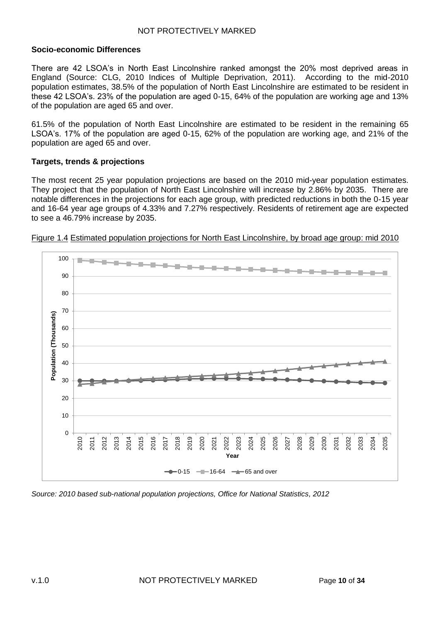#### <span id="page-9-0"></span>**Socio-economic Differences**

There are 42 LSOA's in North East Lincolnshire ranked amongst the 20% most deprived areas in England (Source: CLG, 2010 Indices of Multiple Deprivation, 2011). According to the mid-2010 population estimates, 38.5% of the population of North East Lincolnshire are estimated to be resident in these 42 LSOA's. 23% of the population are aged 0-15, 64% of the population are working age and 13% of the population are aged 65 and over.

61.5% of the population of North East Lincolnshire are estimated to be resident in the remaining 65 LSOA's. 17% of the population are aged 0-15, 62% of the population are working age, and 21% of the population are aged 65 and over.

#### <span id="page-9-1"></span>**Targets, trends & projections**

The most recent 25 year population projections are based on the 2010 mid-year population estimates. They project that the population of North East Lincolnshire will increase by 2.86% by 2035. There are notable differences in the projections for each age group, with predicted reductions in both the 0-15 year and 16-64 year age groups of 4.33% and 7.27% respectively. Residents of retirement age are expected to see a 46.79% increase by 2035.



Figure 1.4 Estimated population projections for North East Lincolnshire, by broad age group: mid 2010

*Source: 2010 based sub-national population projections, Office for National Statistics, 2012*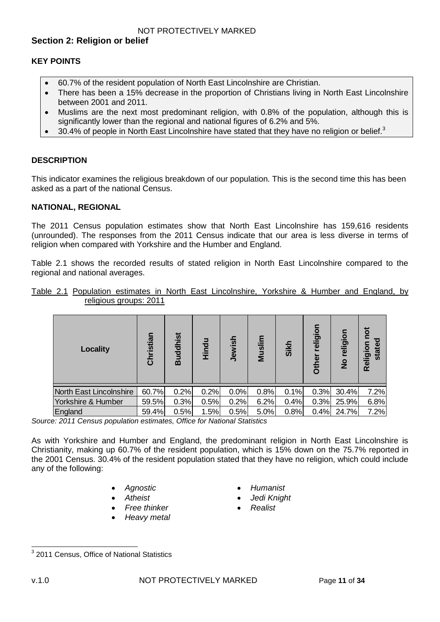#### <span id="page-10-1"></span><span id="page-10-0"></span>**KEY POINTS**

- 60.7% of the resident population of North East Lincolnshire are Christian.
- There has been a 15% decrease in the proportion of Christians living in North East Lincolnshire between 2001 and 2011.
- Muslims are the next most predominant religion, with 0.8% of the population, although this is significantly lower than the regional and national figures of 6.2% and 5%.
- $\bullet$  30.4% of people in North East Lincolnshire have stated that they have no religion or belief.<sup>3</sup>

#### <span id="page-10-2"></span>**DESCRIPTION**

This indicator examines the religious breakdown of our population. This is the second time this has been asked as a part of the national Census.

#### <span id="page-10-3"></span>**NATIONAL, REGIONAL**

The 2011 Census population estimates show that North East Lincolnshire has 159,616 residents (unrounded). The responses from the 2011 Census indicate that our area is less diverse in terms of religion when compared with Yorkshire and the Humber and England.

Table 2.1 shows the recorded results of stated religion in North East Lincolnshire compared to the regional and national averages.

| <b>Locality</b>         | Christian | <b>Buddhist</b> | Hindu | Jewish | 들<br>Musl | <b>Sikh</b> | religion<br>Other | religion<br>$\frac{1}{2}$ | pot<br>Religion<br>state |
|-------------------------|-----------|-----------------|-------|--------|-----------|-------------|-------------------|---------------------------|--------------------------|
| North East Lincolnshire | 60.7%     | 0.2%            | 0.2%  | 0.0%   | 0.8%      | 0.1%        | 0.3%              | 30.4%                     | 7.2%                     |
| Yorkshire & Humber      | 59.5%     | 0.3%            | 0.5%  | 0.2%   | 6.2%      | 0.4%        | 0.3%              | 25.9%                     | 6.8%                     |
| England                 | 59.4%     | 0.5%            | 1.5%  | 0.5%   | 5.0%      | 0.8%        | 0.4%              | 24.7%                     | 7.2%                     |

|  |                        |  | Table 2.1 Population estimates in North East Lincolnshire, Yorkshire & Humber and England, by |  |  |  |
|--|------------------------|--|-----------------------------------------------------------------------------------------------|--|--|--|
|  | religious groups: 2011 |  |                                                                                               |  |  |  |

*Source: 2011 Census population estimates, Office for National Statistics* 

As with Yorkshire and Humber and England, the predominant religion in North East Lincolnshire is Christianity, making up 60.7% of the resident population, which is 15% down on the 75.7% reported in the 2001 Census. 30.4% of the resident population stated that they have no religion, which could include any of the following:

- 
- 
- *Free thinker Realist*
- *Heavy metal*
- *Atheist Jedi Knight*
	-

 $\overline{\phantom{a}}$ 

*Agnostic Humanist*

<sup>&</sup>lt;sup>3</sup> 2011 Census, Office of National Statistics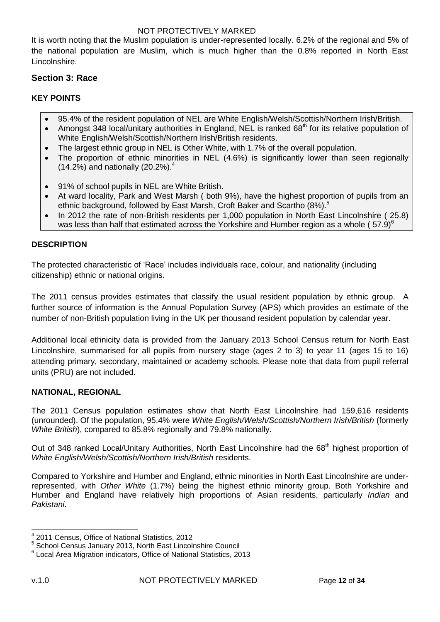It is worth noting that the Muslim population is under-represented locally. 6.2% of the regional and 5% of the national population are Muslim, which is much higher than the 0.8% reported in North East Lincolnshire.

## <span id="page-11-0"></span>**Section 3: Race**

# <span id="page-11-1"></span>**KEY POINTS**

- 95.4% of the resident population of NEL are White English/Welsh/Scottish/Northern Irish/British.
- Amongst 348 local/unitary authorities in England, NEL is ranked 68<sup>th</sup> for its relative population of White English/Welsh/Scottish/Northern Irish/British residents.
- The largest ethnic group in NEL is Other White, with 1.7% of the overall population.
- The proportion of ethnic minorities in NEL (4.6%) is significantly lower than seen regionally (14.2%) and nationally (20.2%).<sup>4</sup>
- 91% of school pupils in NEL are White British.
- At ward locality, Park and West Marsh ( both 9%), have the highest proportion of pupils from an ethnic background, followed by East Marsh, Croft Baker and Scartho (8%).<sup>5</sup>
- In 2012 the rate of non-British residents per 1,000 population in North East Lincolnshire (25.8) was less than half that estimated across the Yorkshire and Humber region as a whole ( $57.9$ )<sup>6</sup>

#### <span id="page-11-2"></span>**DESCRIPTION**

The protected characteristic of 'Race' includes individuals race, colour, and nationality (including citizenship) ethnic or national origins.

The 2011 census provides estimates that classify the usual resident population by ethnic group. A further source of information is the Annual Population Survey (APS) which provides an estimate of the number of non-British population living in the UK per thousand resident population by calendar year.

Additional local ethnicity data is provided from the January 2013 School Census return for North East Lincolnshire, summarised for all pupils from nursery stage (ages 2 to 3) to year 11 (ages 15 to 16) attending primary, secondary, maintained or academy schools. Please note that data from pupil referral units (PRU) are not included.

#### <span id="page-11-3"></span>**NATIONAL, REGIONAL**

The 2011 Census population estimates show that North East Lincolnshire had 159,616 residents (unrounded). Of the population, 95.4% were *White English/Welsh/Scottish/Northern Irish/British* (formerly *White British*), compared to 85.8% regionally and 79.8% nationally.

Out of 348 ranked Local/Unitary Authorities, North East Lincolnshire had the 68<sup>th</sup> highest proportion of *White English/Welsh/Scottish/Northern Irish/British* residents.

Compared to Yorkshire and Humber and England, ethnic minorities in North East Lincolnshire are underrepresented, with *Other White* (1.7%) being the highest ethnic minority group. Both Yorkshire and Humber and England have relatively high proportions of Asian residents, particularly *Indian* and *Pakistani*.

 4 2011 Census, Office of National Statistics, 2012

<sup>&</sup>lt;sup>5</sup> School Census January 2013, North East Lincolnshire Council

<sup>6</sup> Local Area Migration indicators, Office of National Statistics, 2013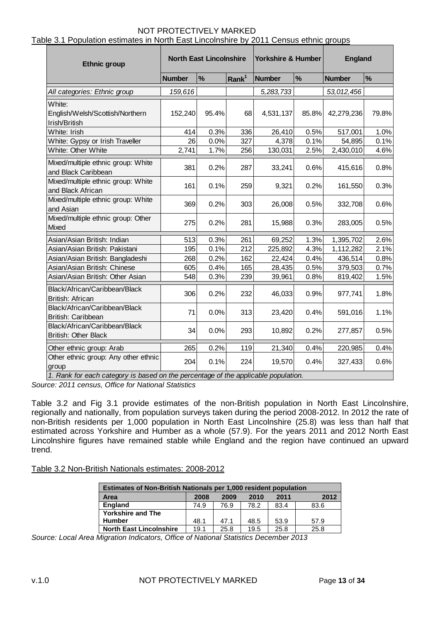Table 3.1 Population estimates in North East Lincolnshire by 2011 Census ethnic groups

| <b>Ethnic group</b>                                                                                                                 | <b>North East Lincolnshire</b> |       | <b>Yorkshire &amp; Humber</b> | <b>England</b> |       |               |               |
|-------------------------------------------------------------------------------------------------------------------------------------|--------------------------------|-------|-------------------------------|----------------|-------|---------------|---------------|
|                                                                                                                                     | <b>Number</b>                  | %     | Rank <sup>1</sup>             | <b>Number</b>  | %     | <b>Number</b> | $\frac{9}{6}$ |
| All categories: Ethnic group                                                                                                        | 159,616                        |       |                               | 5,283,733      |       | 53,012,456    |               |
| White:<br>English/Welsh/Scottish/Northern<br>Irish/British                                                                          | 152,240                        | 95.4% | 68                            | 4,531,137      | 85.8% | 42,279,236    | 79.8%         |
| White: Irish                                                                                                                        | 414                            | 0.3%  | 336                           | 26,410         | 0.5%  | 517,001       | 1.0%          |
| White: Gypsy or Irish Traveller                                                                                                     | 26                             | 0.0%  | 327                           | 4,378          | 0.1%  | 54,895        | 0.1%          |
| White: Other White                                                                                                                  | 2,741                          | 1.7%  | 256                           | 130,031        | 2.5%  | 2,430,010     | 4.6%          |
| Mixed/multiple ethnic group: White<br>and Black Caribbean                                                                           | 381                            | 0.2%  | 287                           | 33,241         | 0.6%  | 415,616       | 0.8%          |
| Mixed/multiple ethnic group: White<br>and Black African                                                                             | 161                            | 0.1%  | 259                           | 9,321          | 0.2%  | 161,550       | 0.3%          |
| Mixed/multiple ethnic group: White<br>and Asian                                                                                     | 369                            | 0.2%  | 303                           | 26,008         | 0.5%  | 332,708       | 0.6%          |
| Mixed/multiple ethnic group: Other<br>Mixed                                                                                         | 275                            | 0.2%  | 281                           | 15,988         | 0.3%  | 283,005       | 0.5%          |
| Asian/Asian British: Indian                                                                                                         | 513                            | 0.3%  | 261                           | 69,252         | 1.3%  | 1,395,702     | 2.6%          |
| Asian/Asian British: Pakistani                                                                                                      | 195                            | 0.1%  | 212                           | 225,892        | 4.3%  | 1,112,282     | 2.1%          |
| Asian/Asian British: Bangladeshi                                                                                                    | 268                            | 0.2%  | 162                           | 22,424         | 0.4%  | 436,514       | 0.8%          |
| Asian/Asian British: Chinese                                                                                                        | 605                            | 0.4%  | 165                           | 28,435         | 0.5%  | 379,503       | 0.7%          |
| Asian/Asian British: Other Asian                                                                                                    | 548                            | 0.3%  | 239                           | 39,961         | 0.8%  | 819,402       | 1.5%          |
| Black/African/Caribbean/Black<br>British: African                                                                                   | 306                            | 0.2%  | 232                           | 46,033         | 0.9%  | 977,741       | 1.8%          |
| Black/African/Caribbean/Black<br>British: Caribbean                                                                                 | 71                             | 0.0%  | 313                           | 23,420         | 0.4%  | 591,016       | 1.1%          |
| Black/African/Caribbean/Black<br><b>British: Other Black</b>                                                                        | 34                             | 0.0%  | 293                           | 10,892         | 0.2%  | 277,857       | 0.5%          |
| Other ethnic group: Arab                                                                                                            | 265                            | 0.2%  | 119                           | 21,340         | 0.4%  | 220,985       | 0.4%          |
| Other ethnic group: Any other ethnic<br>group<br>1. Rank for each category is based on the percentage of the applicable population. | 204                            | 0.1%  | 224                           | 19,570         | 0.4%  | 327,433       | 0.6%          |

*Source: 2011 census, Office for National Statistics*

Table 3.2 and Fig 3.1 provide estimates of the non-British population in North East Lincolnshire, regionally and nationally, from population surveys taken during the period 2008-2012. In 2012 the rate of non-British residents per 1,000 population in North East Lincolnshire (25.8) was less than half that estimated across Yorkshire and Humber as a whole (57.9). For the years 2011 and 2012 North East Lincolnshire figures have remained stable while England and the region have continued an upward trend.

Table 3.2 Non-British Nationals estimates: 2008-2012

| <b>Estimates of Non-British Nationals per 1,000 resident population</b> |      |      |      |      |      |  |  |  |  |
|-------------------------------------------------------------------------|------|------|------|------|------|--|--|--|--|
| <b>Area</b>                                                             | 2008 | 2009 | 2010 | 2011 | 2012 |  |  |  |  |
| <b>England</b>                                                          | 74.9 | 76.9 | 78.2 | 83.4 | 83.6 |  |  |  |  |
| <b>Yorkshire and The</b>                                                |      |      |      |      |      |  |  |  |  |
| <b>Humber</b>                                                           | 48.1 | 47.1 | 48.5 | 53.9 | 57.9 |  |  |  |  |
| <b>North East Lincolnshire</b>                                          | 19.1 | 25.8 | 19.5 | 25.8 | 25.8 |  |  |  |  |

*Source: Local Area Migration Indicators, Office of National Statistics December 2013*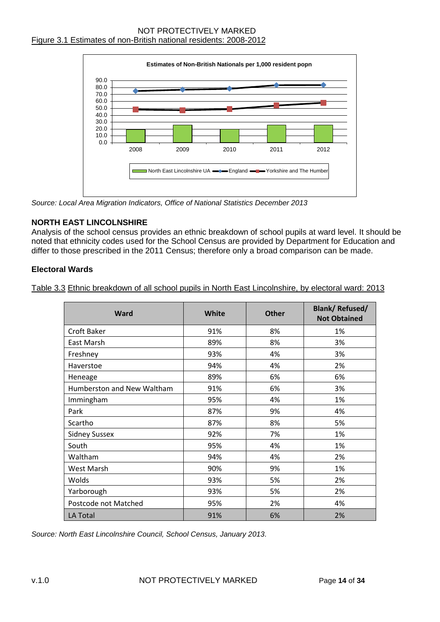# NOT PROTECTIVELY MARKED Figure 3.1 Estimates of non-British national residents: 2008-2012



*Source: Local Area Migration Indicators, Office of National Statistics December 2013*

#### <span id="page-13-0"></span>**NORTH EAST LINCOLNSHIRE**

Analysis of the school census provides an ethnic breakdown of school pupils at ward level. It should be noted that ethnicity codes used for the School Census are provided by Department for Education and differ to those prescribed in the 2011 Census; therefore only a broad comparison can be made.

#### <span id="page-13-1"></span>**Electoral Wards**

Table 3.3 Ethnic breakdown of all school pupils in North East Lincolnshire, by electoral ward: 2013

| <b>Ward</b>                | <b>White</b> | <b>Other</b> | <b>Blank/ Refused/</b><br><b>Not Obtained</b> |  |  |
|----------------------------|--------------|--------------|-----------------------------------------------|--|--|
| Croft Baker                | 91%          | 8%           | 1%                                            |  |  |
| East Marsh                 | 89%          | 8%           | 3%                                            |  |  |
| Freshney                   | 93%          | 4%           | 3%                                            |  |  |
| Haverstoe                  | 94%          | 4%           | 2%                                            |  |  |
| Heneage                    | 89%          | 6%           | 6%                                            |  |  |
| Humberston and New Waltham | 91%          | 6%           | 3%                                            |  |  |
| Immingham                  | 95%          | 4%           | 1%                                            |  |  |
| Park                       | 87%          | 9%           | 4%                                            |  |  |
| Scartho                    | 87%          | 8%           | 5%                                            |  |  |
| <b>Sidney Sussex</b>       | 92%          | 7%           | 1%                                            |  |  |
| South                      | 95%          | 4%           | 1%                                            |  |  |
| Waltham                    | 94%          | 4%           | 2%                                            |  |  |
| West Marsh                 | 90%          | 9%           | 1%                                            |  |  |
| Wolds                      | 93%          | 5%           | 2%                                            |  |  |
| Yarborough                 | 93%          | 5%           | 2%                                            |  |  |
| Postcode not Matched       | 95%          | 2%           | 4%                                            |  |  |
| LA Total                   | 91%          | 6%           | 2%                                            |  |  |

*Source: North East Lincolnshire Council, School Census, January 2013.*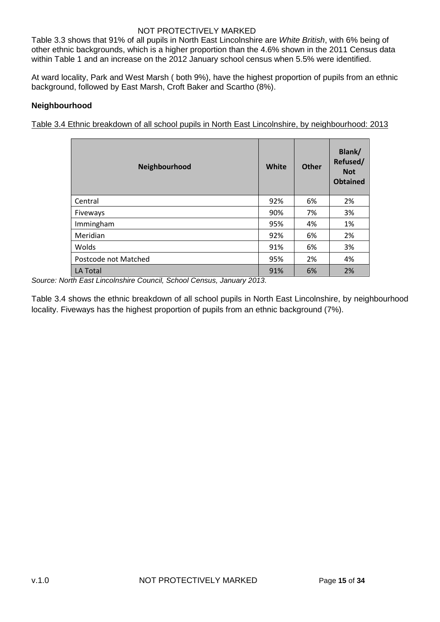Table 3.3 shows that 91% of all pupils in North East Lincolnshire are *White British*, with 6% being of other ethnic backgrounds, which is a higher proportion than the 4.6% shown in the 2011 Census data within Table 1 and an increase on the 2012 January school census when 5.5% were identified.

At ward locality, Park and West Marsh ( both 9%), have the highest proportion of pupils from an ethnic background, followed by East Marsh, Croft Baker and Scartho (8%).

#### <span id="page-14-0"></span>**Neighbourhood**

Table 3.4 Ethnic breakdown of all school pupils in North East Lincolnshire, by neighbourhood: 2013

| Neighbourhood        | <b>White</b> | <b>Other</b> | Blank/<br>Refused/<br><b>Not</b><br><b>Obtained</b> |
|----------------------|--------------|--------------|-----------------------------------------------------|
| Central              | 92%          | 6%           | 2%                                                  |
| Fiveways             | 90%          | 7%           | 3%                                                  |
| Immingham            | 95%          | 4%           | 1%                                                  |
| Meridian             | 92%          | 6%           | 2%                                                  |
| Wolds                | 91%          | 6%           | 3%                                                  |
| Postcode not Matched | 95%          | 2%           | 4%                                                  |
| <b>LA Total</b>      | 91%          | 6%           | 2%                                                  |

*Source: North East Lincolnshire Council, School Census, January 2013.*

Table 3.4 shows the ethnic breakdown of all school pupils in North East Lincolnshire, by neighbourhood locality. Fiveways has the highest proportion of pupils from an ethnic background (7%).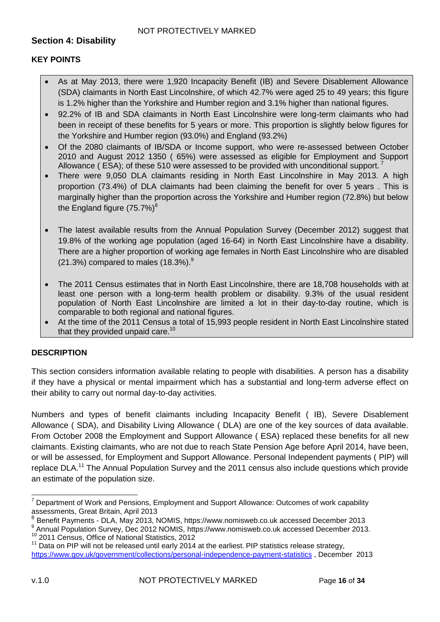# <span id="page-15-0"></span>**Section 4: Disability**

# <span id="page-15-1"></span>**KEY POINTS**

- As at May 2013, there were 1,920 Incapacity Benefit (IB) and Severe Disablement Allowance (SDA) claimants in North East Lincolnshire, of which 42.7% were aged 25 to 49 years; this figure is 1.2% higher than the Yorkshire and Humber region and 3.1% higher than national figures.
- 92.2% of IB and SDA claimants in North East Lincolnshire were long-term claimants who had been in receipt of these benefits for 5 years or more. This proportion is slightly below figures for the Yorkshire and Humber region (93.0%) and England (93.2%)
- Of the 2080 claimants of IB/SDA or Income support, who were re-assessed between October 2010 and August 2012 1350 ( 65%) were assessed as eligible for Employment and Support Allowance ( ESA); of these 510 were assessed to be provided with unconditional support.
- There were 9,050 DLA claimants residing in North East Lincolnshire in May 2013. A high proportion (73.4%) of DLA claimants had been claiming the benefit for over 5 years . This is marginally higher than the proportion across the Yorkshire and Humber region (72.8%) but below the England figure  $(75.7%)^8$
- The latest available results from the Annual Population Survey (December 2012) suggest that 19.8% of the working age population (aged 16-64) in North East Lincolnshire have a disability. There are a higher proportion of working age females in North East Lincolnshire who are disabled (21.3%) compared to males  $(18.3\%)$ <sup>9</sup>
- The 2011 Census estimates that in North East Lincolnshire, there are 18,708 households with at least one person with a long-term health problem or disability. 9.3% of the usual resident population of North East Lincolnshire are limited a lot in their day-to-day routine, which is comparable to both regional and national figures.
- At the time of the 2011 Census a total of 15,993 people resident in North East Lincolnshire stated that they provided unpaid care.<sup>10</sup>

# <span id="page-15-2"></span>**DESCRIPTION**

This section considers information available relating to people with disabilities. A person has a disability if they have a physical or mental impairment which has a substantial and long-term adverse effect on their ability to carry out normal day-to-day activities.

Numbers and types of benefit claimants including Incapacity Benefit ( IB), Severe Disablement Allowance ( SDA), and Disability Living Allowance ( DLA) are one of the key sources of data available. From October 2008 the Employment and Support Allowance ( ESA) replaced these benefits for all new claimants. Existing claimants, who are not due to reach State Pension Age before April 2014, have been, or will be assessed, for Employment and Support Allowance. Personal Independent payments ( PIP) will replace DLA.<sup>11</sup> The Annual Population Survey and the 2011 census also include questions which provide an estimate of the population size.

  $7$  Department of Work and Pensions, Employment and Support Allowance: Outcomes of work capability assessments, Great Britain, April 2013

<sup>8</sup> Benefit Payments - DLA, May 2013, NOMIS, https://www.nomisweb.co.uk accessed December 2013

<sup>&</sup>lt;sup>9</sup> Annual Population Survey, Dec 2012 NOMIS, [https://www.nomisweb.co.uk](https://www.nomisweb.co.uk/) accessed December 2013. <sup>10</sup> 2011 Census, Office of National Statistics, 2012

 $11$  Data on PIP will not be released until early 2014 at the earliest. PIP statistics release strategy, <https://www.gov.uk/government/collections/personal-independence-payment-statistics>, December 2013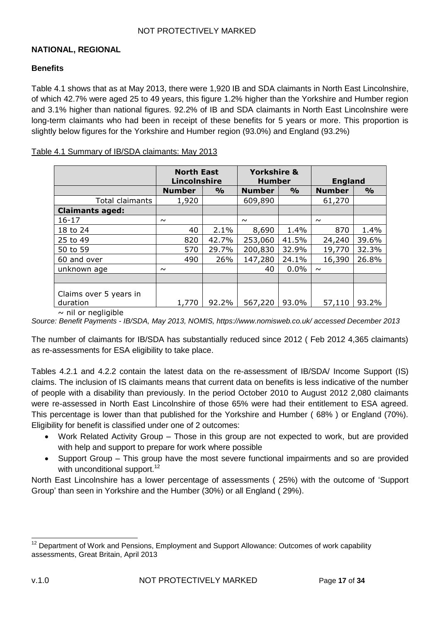#### <span id="page-16-0"></span>**NATIONAL, REGIONAL**

#### <span id="page-16-1"></span>**Benefits**

Table 4.1 shows that as at May 2013, there were 1,920 IB and SDA claimants in North East Lincolnshire, of which 42.7% were aged 25 to 49 years, this figure 1.2% higher than the Yorkshire and Humber region and 3.1% higher than national figures. 92.2% of IB and SDA claimants in North East Lincolnshire were long-term claimants who had been in receipt of these benefits for 5 years or more. This proportion is slightly below figures for the Yorkshire and Humber region (93.0%) and England (93.2%)

| Table 4.1 Summary of IB/SDA claimants: May 2013 |
|-------------------------------------------------|
|-------------------------------------------------|

|                                    | <b>North East</b><br>Lincolnshire |               | <b>Yorkshire &amp;</b><br><b>Humber</b> |               | <b>England</b> |               |
|------------------------------------|-----------------------------------|---------------|-----------------------------------------|---------------|----------------|---------------|
|                                    | <b>Number</b>                     | $\frac{0}{0}$ | <b>Number</b>                           | $\frac{0}{0}$ | <b>Number</b>  | $\frac{0}{0}$ |
| Total claimants                    | 1,920                             |               | 609,890                                 |               | 61,270         |               |
| <b>Claimants aged:</b>             |                                   |               |                                         |               |                |               |
| $16 - 17$                          | $\sim$                            |               | $\sim$                                  |               | $\sim$         |               |
| 18 to 24                           | 40                                | 2.1%          | 8,690                                   | 1.4%          | 870            | 1.4%          |
| 25 to 49                           | 820                               | 42.7%         | 253,060                                 | 41.5%         | 24,240         | 39.6%         |
| 50 to 59                           | 570                               | 29.7%         | 200,830                                 | 32.9%         | 19,770         | 32.3%         |
| 60 and over                        | 490                               | 26%           | 147,280                                 | 24.1%         | 16,390         | 26.8%         |
| unknown age                        | $\sim$                            |               | 40                                      | 0.0%          | $\sim$         |               |
|                                    |                                   |               |                                         |               |                |               |
| Claims over 5 years in<br>duration | 1,770                             | 92.2%         | 567,220                                 | 93.0%         | 57,110         | 93.2%         |

#### $\sim$  nil or negligible

*Source: Benefit Payments - IB/SDA, May 2013, NOMIS, https://www.nomisweb.co.uk/ accessed December 2013*

The number of claimants for IB/SDA has substantially reduced since 2012 ( Feb 2012 4,365 claimants) as re-assessments for ESA eligibility to take place.

Tables 4.2.1 and 4.2.2 contain the latest data on the re-assessment of IB/SDA/ Income Support (IS) claims. The inclusion of IS claimants means that current data on benefits is less indicative of the number of people with a disability than previously. In the period October 2010 to August 2012 2,080 claimants were re-assessed in North East Lincolnshire of those 65% were had their entitlement to ESA agreed. This percentage is lower than that published for the Yorkshire and Humber ( 68% ) or England (70%). Eligibility for benefit is classified under one of 2 outcomes:

- Work Related Activity Group Those in this group are not expected to work, but are provided with help and support to prepare for work where possible
- Support Group This group have the most severe functional impairments and so are provided with unconditional support.<sup>12</sup>

North East Lincolnshire has a lower percentage of assessments ( 25%) with the outcome of 'Support Group' than seen in Yorkshire and the Humber (30%) or all England ( 29%).

 $\overline{\phantom{a}}$  $12$  Department of Work and Pensions, Employment and Support Allowance: Outcomes of work capability assessments, Great Britain, April 2013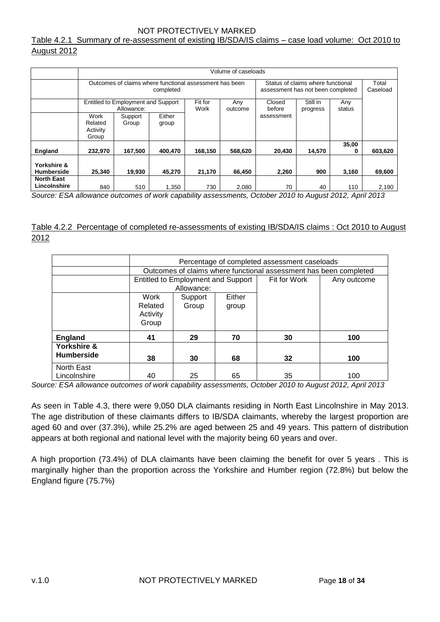Table 4.2.1 Summary of re-assessment of existing IB/SDA/IS claims – case load volume: Oct 2010 to August 2012

|                                   | Volume of caseloads                                                                          |                                                  |                 |                 |                |                                                           |          |            |         |
|-----------------------------------|----------------------------------------------------------------------------------------------|--------------------------------------------------|-----------------|-----------------|----------------|-----------------------------------------------------------|----------|------------|---------|
|                                   | Outcomes of claims where functional assessment has been<br>Status of claims where functional |                                                  |                 |                 |                |                                                           |          |            | Total   |
|                                   | completed                                                                                    |                                                  |                 |                 |                | assessment has not been completed                         | Caseload |            |         |
|                                   |                                                                                              | Entitled to Employment and Support<br>Allowance: |                 | Fit for<br>Work | Any<br>outcome | Still in<br>Closed<br>Any<br>before<br>status<br>progress |          |            |         |
|                                   | Work<br>Related<br>Activity<br>Group                                                         | Support<br>Group                                 | Either<br>group |                 |                | assessment                                                |          |            |         |
| <b>England</b>                    | 232.970                                                                                      | 167.500                                          | 400.470         | 168.150         | 568.620        | 20,430                                                    | 14.570   | 35,00<br>0 | 603,620 |
| Yorkshire &<br><b>Humberside</b>  | 25.340                                                                                       | 19.930                                           | 45.270          | 21,170          | 66.450         | 2,260                                                     | 900      | 3,160      | 69,600  |
| <b>North East</b><br>Lincolnshire | 840                                                                                          | 510                                              | 1,350           | 730             | 2,080          | 70                                                        | 40       | 110        | 2,190   |

*Source: ESA allowance outcomes of work capability assessments, October 2010 to August 2012, April 2013*

#### Table 4.2.2 Percentage of completed re-assessments of existing IB/SDA/IS claims : Oct 2010 to August 2012

|                                  | Percentage of completed assessment caseloads |                                                                   |        |              |             |  |  |  |  |  |
|----------------------------------|----------------------------------------------|-------------------------------------------------------------------|--------|--------------|-------------|--|--|--|--|--|
|                                  |                                              | Outcomes of claims where functional assessment has been completed |        |              |             |  |  |  |  |  |
|                                  |                                              | Entitled to Employment and Support                                |        | Fit for Work | Any outcome |  |  |  |  |  |
|                                  |                                              | Allowance:                                                        |        |              |             |  |  |  |  |  |
|                                  | Work                                         | Support                                                           | Either |              |             |  |  |  |  |  |
|                                  | Related<br>Activity<br>Group                 | Group                                                             | group  |              |             |  |  |  |  |  |
| <b>England</b>                   | 41                                           | 29                                                                | 70     | 30           | 100         |  |  |  |  |  |
| Yorkshire &<br><b>Humberside</b> | 38                                           | 30                                                                | 68     | 32           | 100         |  |  |  |  |  |
| North East<br>Lincolnshire       | 40                                           | 25                                                                | 65     | 35           | 100         |  |  |  |  |  |

*Source: ESA allowance outcomes of work capability assessments, October 2010 to August 2012, April 2013*

As seen in Table 4.3, there were 9,050 DLA claimants residing in North East Lincolnshire in May 2013. The age distribution of these claimants differs to IB/SDA claimants, whereby the largest proportion are aged 60 and over (37.3%), while 25.2% are aged between 25 and 49 years. This pattern of distribution appears at both regional and national level with the majority being 60 years and over.

A high proportion (73.4%) of DLA claimants have been claiming the benefit for over 5 years . This is marginally higher than the proportion across the Yorkshire and Humber region (72.8%) but below the England figure (75.7%)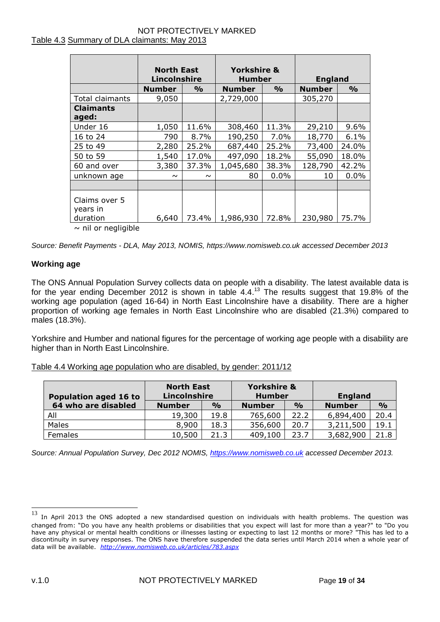#### NOT PROTECTIVELY MARKED Table 4.3 Summary of DLA claimants: May 2013

|                                       | <b>North East</b><br>Lincolnshire |               | <b>Yorkshire &amp;</b><br><b>Humber</b> |               | <b>England</b> |               |  |
|---------------------------------------|-----------------------------------|---------------|-----------------------------------------|---------------|----------------|---------------|--|
|                                       | <b>Number</b>                     | $\frac{0}{0}$ | <b>Number</b>                           | $\frac{0}{0}$ | <b>Number</b>  | $\frac{9}{0}$ |  |
| Total claimants                       | 9,050                             |               | 2,729,000                               |               | 305,270        |               |  |
| <b>Claimants</b>                      |                                   |               |                                         |               |                |               |  |
| aged:                                 |                                   |               |                                         |               |                |               |  |
| Under 16                              | 1,050                             | 11.6%         | 308,460                                 | 11.3%         | 29,210         | 9.6%          |  |
| 16 to 24                              | 790                               | 8.7%          | 190,250                                 | 7.0%          | 18,770         | 6.1%          |  |
| 25 to 49                              | 2,280                             | 25.2%         | 687,440                                 | 25.2%         | 73,400         | 24.0%         |  |
| 50 to 59                              | 1,540                             | 17.0%         | 497,090                                 | 18.2%         | 55,090         | 18.0%         |  |
| 60 and over                           | 3,380                             | 37.3%         | 1,045,680                               | 38.3%         | 128,790        | 42.2%         |  |
| unknown age                           | $\sim$                            | $\sim$        | 80                                      | 0.0%          | 10             | 0.0%          |  |
|                                       |                                   |               |                                         |               |                |               |  |
| Claims over 5<br>years in<br>duration | 6,640                             | 73.4%         | 1,986,930                               | 72.8%         | 230,980        | 75.7%         |  |
| .                                     |                                   |               |                                         |               |                |               |  |

 $\sim$  nil or negligible

*Source: Benefit Payments - DLA, May 2013, NOMIS, https://www.nomisweb.co.uk accessed December 2013*

#### <span id="page-18-0"></span>**Working age**

The ONS Annual Population Survey collects data on people with a disability. The latest available data is for the year ending December 2012 is shown in table  $4.4^{13}$  The results suggest that 19.8% of the working age population (aged 16-64) in North East Lincolnshire have a disability. There are a higher proportion of working age females in North East Lincolnshire who are disabled (21.3%) compared to males (18.3%).

Yorkshire and Humber and national figures for the percentage of working age people with a disability are higher than in North East Lincolnshire.

| Table 4.4 Working age population who are disabled, by gender: 2011/12 |  |  |
|-----------------------------------------------------------------------|--|--|
|                                                                       |  |  |

| <b>Population aged 16 to</b> | <b>North East</b><br>Lincolnshire |               | <b>Yorkshire &amp;</b><br><b>Humber</b> |      | <b>England</b> |               |  |
|------------------------------|-----------------------------------|---------------|-----------------------------------------|------|----------------|---------------|--|
| 64 who are disabled          | <b>Number</b>                     | $\frac{O}{O}$ | <b>Number</b><br>$\frac{6}{6}$          |      | <b>Number</b>  | $\frac{1}{2}$ |  |
| All                          | 19,300                            | 19.8          | 765,600                                 | 22.2 | 6,894,400      | 20.4          |  |
| Males                        | 8,900                             | 18.3          | 356,600                                 | 20.7 | 3,211,500      | 19.1          |  |
| Females                      | 10,500                            | 21.3          | 409,100                                 | 23.7 | 3,682,900      | 21.8          |  |

*Source: Annual Population Survey, Dec 2012 NOMIS, [https://www.nomisweb.co.uk](https://www.nomisweb.co.uk/) accessed December 2013.* 

<sup>13</sup> In April 2013 the ONS adopted a new standardised question on individuals with health problems. The question was changed from: "Do you have any health problems or disabilities that you expect will last for more than a year?" to "Do you have any physical or mental health conditions or illnesses lasting or expecting to last 12 months or more? "This has led to a discontinuity in survey responses. The ONS have therefore suspended the data series until March 2014 when a whole year of data will be available. *<http://www.nomisweb.co.uk/articles/783.aspx>*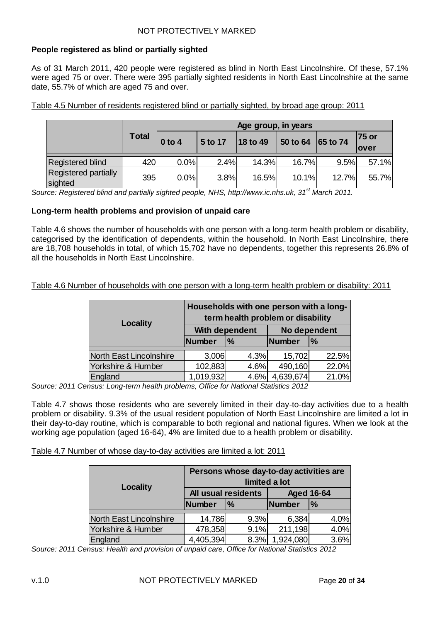#### <span id="page-19-0"></span>**People registered as blind or partially sighted**

As of 31 March 2011, 420 people were registered as blind in North East Lincolnshire. Of these, 57.1% were aged 75 or over. There were 395 partially sighted residents in North East Lincolnshire at the same date, 55.7% of which are aged 75 and over.

Table 4.5 Number of residents registered blind or partially sighted, by broad age group: 2011

|                                        |              | Age group, in years |         |          |          |          |       |  |  |
|----------------------------------------|--------------|---------------------|---------|----------|----------|----------|-------|--|--|
|                                        | <b>Total</b> | $0$ to 4            | 5 to 17 | 18 to 49 | 50 to 64 | 65 to 74 | 75 or |  |  |
|                                        |              |                     |         |          |          |          | lover |  |  |
| <b>Registered blind</b>                | 420          | 0.0%                | 2.4%    | 14.3%    | 16.7%    | 9.5%     | 57.1% |  |  |
| <b>Registered partially</b><br>sighted | 395          | 0.0%                | 3.8%    | 16.5%    | 10.1%    | 12.7%    | 55.7% |  |  |

*Source: Registered blind and partially sighted people, NHS, http://www.ic.nhs.uk, 31st March 2011.* 

#### <span id="page-19-1"></span>**Long-term health problems and provision of unpaid care**

Table 4.6 shows the number of households with one person with a long-term health problem or disability, categorised by the identification of dependents, within the household. In North East Lincolnshire, there are 18,708 households in total, of which 15,702 have no dependents, together this represents 26.8% of all the households in North East Lincolnshire.

Table 4.6 Number of households with one person with a long-term health problem or disability: 2011

| <b>Locality</b>         | Households with one person with a long-<br>term health problem or disability |                |              |               |  |  |  |
|-------------------------|------------------------------------------------------------------------------|----------------|--------------|---------------|--|--|--|
|                         |                                                                              | With dependent | No dependent |               |  |  |  |
|                         | <b>Number</b>                                                                | %              | Number       | $\frac{9}{6}$ |  |  |  |
| North East Lincolnshire | 3,006                                                                        | 4.3%           | 15,702       | 22.5%         |  |  |  |
| Yorkshire & Humber      | 102,883                                                                      | 4.6%           | 490,160      | 22.0%         |  |  |  |
| England                 | 1,019,932                                                                    | 4.6%           | 4,639,674    | 21.0%         |  |  |  |

*Source: 2011 Census: Long-term health problems, Office for National Statistics 2012*

Table 4.7 shows those residents who are severely limited in their day-to-day activities due to a health problem or disability. 9.3% of the usual resident population of North East Lincolnshire are limited a lot in their day-to-day routine, which is comparable to both regional and national figures. When we look at the working age population (aged 16-64), 4% are limited due to a health problem or disability.

#### Table 4.7 Number of whose day-to-day activities are limited a lot: 2011

|                         | Persons whose day-to-day activities are<br>limited a lot |                     |                   |               |  |  |  |
|-------------------------|----------------------------------------------------------|---------------------|-------------------|---------------|--|--|--|
| <b>Locality</b>         |                                                          | All usual residents | <b>Aged 16-64</b> |               |  |  |  |
|                         | <b>Number</b>                                            | $\frac{9}{6}$       | Number            | $\frac{9}{6}$ |  |  |  |
| North East Lincolnshire | 14,786                                                   | 9.3%                | 6,384             | 4.0%          |  |  |  |
| Yorkshire & Humber      | 478,358                                                  | 9.1%                | 211,198           | 4.0%          |  |  |  |
| England                 | 4,405,394                                                | 8.3%                | 1,924,080         | 3.6%          |  |  |  |

*Source: 2011 Census: Health and provision of unpaid care, Office for National Statistics 2012*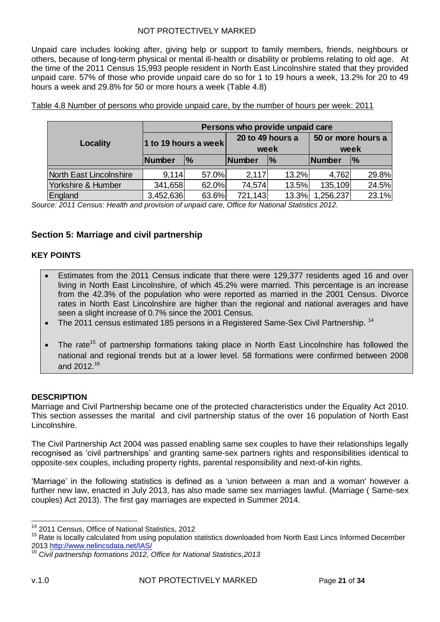Unpaid care includes looking after, giving help or support to family members, friends, neighbours or others, because of long-term physical or mental ill-health or disability or problems relating to old age. At the time of the 2011 Census 15,993 people resident in North East Lincolnshire stated that they provided unpaid care. 57% of those who provide unpaid care do so for 1 to 19 hours a week, 13.2% for 20 to 49 hours a week and 29.8% for 50 or more hours a week (Table 4.8)

|                         | Persons who provide unpaid care |               |                          |               |                            |               |  |  |  |
|-------------------------|---------------------------------|---------------|--------------------------|---------------|----------------------------|---------------|--|--|--|
| Locality                | 1 to 19 hours a week            |               | 20 to 49 hours a<br>week |               | 50 or more hours a<br>week |               |  |  |  |
|                         |                                 |               |                          |               |                            |               |  |  |  |
|                         | Number                          | $\frac{9}{6}$ | <b>Number</b>            | $\frac{1}{2}$ | Number                     | $\frac{9}{6}$ |  |  |  |
| North East Lincolnshire | 9,114                           | 57.0%         | 2,117                    | 13.2%         | 4,762                      | 29.8%         |  |  |  |
| Yorkshire & Humber      | 341,658                         | 62.0%         | 74,574                   | 13.5%         | 135,109                    | 24.5%         |  |  |  |
| England                 | 3,452,636                       | 63.6%         | 721,143                  | 13.3%         | 1,256,237                  | 23.1%         |  |  |  |

Table 4.8 Number of persons who provide unpaid care, by the number of hours per week: 2011

*Source: 2011 Census: Health and provision of unpaid care, Office for National Statistics 2012.*

# <span id="page-20-0"></span>**Section 5: Marriage and civil partnership**

#### <span id="page-20-1"></span>**KEY POINTS**

- Estimates from the 2011 Census indicate that there were 129,377 residents aged 16 and over living in North East Lincolnshire, of which 45.2% were married. This percentage is an increase from the 42.3% of the population who were reported as married in the 2001 Census. Divorce rates in North East Lincolnshire are higher than the regional and national averages and have seen a slight increase of 0.7% since the 2001 Census.
- The 2011 census estimated 185 persons in a Registered Same-Sex Civil Partnership. <sup>14</sup>
- The rate<sup>15</sup> of partnership formations taking place in North East Lincolnshire has followed the national and regional trends but at a lower level. 58 formations were confirmed between 2008 and 2012.<sup>16</sup>

#### <span id="page-20-2"></span>**DESCRIPTION**

Marriage and Civil Partnership became one of the protected characteristics under the Equality Act 2010. This section assesses the marital and civil partnership status of the over 16 population of North East Lincolnshire.

The Civil Partnership Act 2004 was passed enabling same sex couples to have their relationships legally recognised as 'civil partnerships' and granting same-sex partners rights and responsibilities identical to opposite-sex couples, including property rights, parental responsibility and next-of-kin rights.

'Marriage' in the following statistics is defined as a 'union between a man and a woman' however a further new law, enacted in July 2013, has also made same sex marriages lawful. (Marriage ( Same-sex couples) Act 2013). The first gay marriages are expected in Summer 2014.

<sup>&</sup>lt;sup>14</sup> 2011 Census, Office of National Statistics, 2012

<sup>&</sup>lt;sup>15</sup> Rate is locally calculated from using population statistics downloaded from North East Lincs Informed December 2013<http://www.nelincsdata.net/IAS/>

<sup>16</sup> *Civil partnership formations 2012, Office for National Statistics,2013*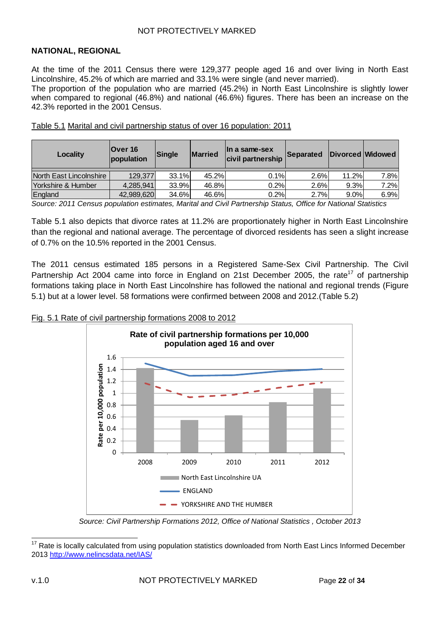#### <span id="page-21-0"></span>**NATIONAL, REGIONAL**

At the time of the 2011 Census there were 129,377 people aged 16 and over living in North East Lincolnshire, 45.2% of which are married and 33.1% were single (and never married).

The proportion of the population who are married (45.2%) in North East Lincolnshire is slightly lower when compared to regional (46.8%) and national (46.6%) figures. There has been an increase on the 42.3% reported in the 2001 Census.

| Locality                | <b>Over 16</b><br>population | <b>Married</b><br>Single |       | lln a same-sex<br>civil partnership | Separated |       | Divorced Widowed |
|-------------------------|------------------------------|--------------------------|-------|-------------------------------------|-----------|-------|------------------|
| North East Lincolnshire | 129,377                      | 33.1%                    | 45.2% | 0.1%                                | 2.6%      | 11.2% | 7.8%             |
| Yorkshire & Humber      | 4,285,941                    | 33.9%                    | 46.8% | 0.2%                                | 2.6%      | 9.3%  | 7.2%             |
| England                 | 42,989,620                   | 34.6%                    | 46.6% | 0.2%                                | 2.7%      | 9.0%  | 6.9%             |

Table 5.1 Marital and civil partnership status of over 16 population: 2011

*Source: 2011 Census population estimates, Marital and Civil Partnership Status, Office for National Statistics* 

Table 5.1 also depicts that divorce rates at 11.2% are proportionately higher in North East Lincolnshire than the regional and national average. The percentage of divorced residents has seen a slight increase of 0.7% on the 10.5% reported in the 2001 Census.

The 2011 census estimated 185 persons in a Registered Same-Sex Civil Partnership. The Civil Partnership Act 2004 came into force in England on 21st December 2005, the rate<sup>17</sup> of partnership formations taking place in North East Lincolnshire has followed the national and regional trends (Figure 5.1) but at a lower level. 58 formations were confirmed between 2008 and 2012.(Table 5.2)



#### Fig. 5.1 Rate of civil partnership formations 2008 to 2012

*Source: Civil Partnership Formations 2012, Office of National Statistics , October 2013*

 $\overline{\phantom{a}}$  $17$  Rate is locally calculated from using population statistics downloaded from North East Lincs Informed December 2013<http://www.nelincsdata.net/IAS/>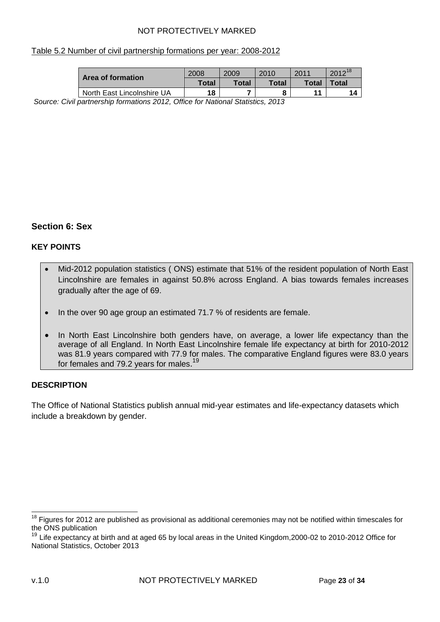#### Table 5.2 Number of civil partnership formations per year: 2008-2012

| Area of formation                                                      | 2008  | 2009  | 2010  | 2011  | $2012^{18}$ |
|------------------------------------------------------------------------|-------|-------|-------|-------|-------------|
|                                                                        | Total | Total | Total | Total | $\tau$ otal |
| North East Lincolnshire UA                                             | 18    |       |       | 11    |             |
| iuil northarabin formationa 2012, Office for National Otatiotica, 2012 |       |       |       |       |             |

*Source: Civil partnership formations 2012, Office for National Statistics, 2013*

# <span id="page-22-0"></span>**Section 6: Sex**

#### <span id="page-22-1"></span>**KEY POINTS**

- Mid-2012 population statistics ( ONS) estimate that 51% of the resident population of North East Lincolnshire are females in against 50.8% across England. A bias towards females increases gradually after the age of 69.
- In the over 90 age group an estimated 71.7 % of residents are female.
- In North East Lincolnshire both genders have, on average, a lower life expectancy than the average of all England. In North East Lincolnshire female life expectancy at birth for 2010-2012 was 81.9 years compared with 77.9 for males. The comparative England figures were 83.0 years for females and 79.2 years for males.<sup>19</sup>

#### <span id="page-22-2"></span>**DESCRIPTION**

The Office of National Statistics publish annual mid-year estimates and life-expectancy datasets which include a breakdown by gender.

 $\overline{\phantom{a}}$ 

 $18$  Figures for 2012 are published as provisional as additional ceremonies may not be notified within timescales for the ONS publication

<sup>&</sup>lt;sup>19</sup> Life expectancy at birth and at aged 65 by local areas in the United Kingdom, 2000-02 to 2010-2012 Office for National Statistics, October 2013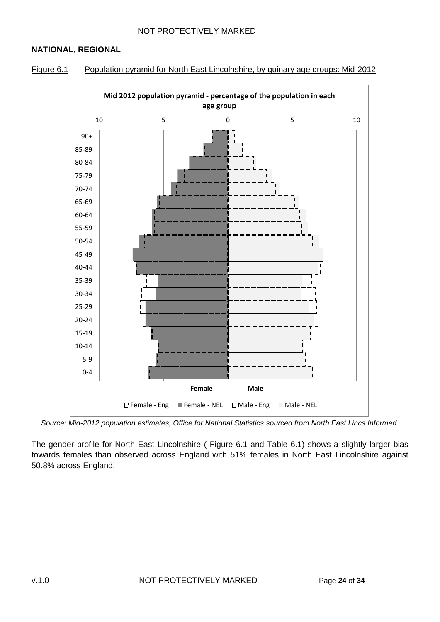# <span id="page-23-0"></span>**NATIONAL, REGIONAL**





*Source: Mid-2012 population estimates, Office for National Statistics sourced from North East Lincs Informed.*

The gender profile for North East Lincolnshire ( Figure 6.1 and Table 6.1) shows a slightly larger bias towards females than observed across England with 51% females in North East Lincolnshire against 50.8% across England.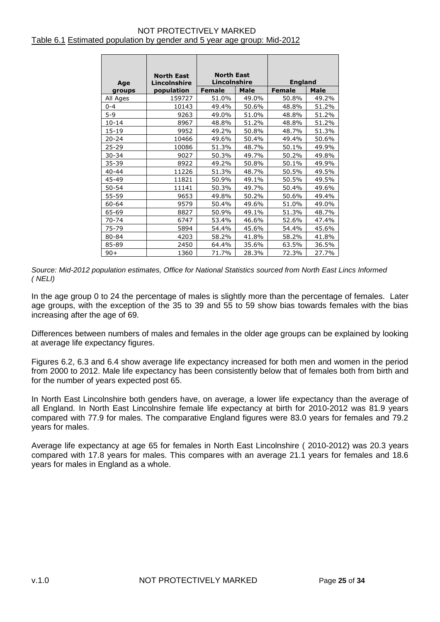#### NOT PROTECTIVELY MARKED Table 6.1 Estimated population by gender and 5 year age group: Mid-2012

| Age       | <b>North East</b><br>Lincolnshire | <b>North East</b><br>Lincolnshire |             | <b>England</b> |       |
|-----------|-----------------------------------|-----------------------------------|-------------|----------------|-------|
| groups    | population                        | <b>Female</b>                     | <b>Male</b> | Female         | Male  |
| All Ages  | 159727                            | 51.0%                             | 49.0%       | 50.8%          | 49.2% |
| $0 - 4$   | 10143                             | 49.4%                             | 50.6%       | 48.8%          | 51.2% |
| $5 - 9$   | 9263                              | 49.0%                             | 51.0%       | 48.8%          | 51.2% |
| $10 - 14$ | 8967                              | 48.8%                             | 51.2%       | 48.8%          | 51.2% |
| 15-19     | 9952                              | 49.2%                             | 50.8%       | 48.7%          | 51.3% |
| 20-24     | 10466                             | 49.6%                             | 50.4%       | 49.4%          | 50.6% |
| 25-29     | 10086                             | 51.3%                             | 48.7%       | 50.1%          | 49.9% |
| 30-34     | 9027                              | 50.3%                             | 49.7%       | 50.2%          | 49.8% |
| 35-39     | 8922                              | 49.2%                             | 50.8%       | 50.1%          | 49.9% |
| $40 - 44$ | 11226                             | 51.3%                             | 48.7%       | 50.5%          | 49.5% |
| 45-49     | 11821                             | 50.9%                             | 49.1%       | 50.5%          | 49.5% |
| 50-54     | 11141                             | 50.3%                             | 49.7%       | 50.4%          | 49.6% |
| 55-59     | 9653                              | 49.8%                             | 50.2%       | 50.6%          | 49.4% |
| 60-64     | 9579                              | 50.4%                             | 49.6%       | 51.0%          | 49.0% |
| 65-69     | 8827                              | 50.9%                             | 49.1%       | 51.3%          | 48.7% |
| 70-74     | 6747                              | 53.4%                             | 46.6%       | 52.6%          | 47.4% |
| 75-79     | 5894                              | 54.4%                             | 45.6%       | 54.4%          | 45.6% |
| 80-84     | 4203                              | 58.2%                             | 41.8%       | 58.2%          | 41.8% |
| 85-89     | 2450                              | 64.4%                             | 35.6%       | 63.5%          | 36.5% |
| $90+$     | 1360                              | 71.7%                             | 28.3%       | 72.3%          | 27.7% |

*Source: Mid-2012 population estimates, Office for National Statistics sourced from North East Lincs Informed ( NELI)*

In the age group 0 to 24 the percentage of males is slightly more than the percentage of females. Later age groups, with the exception of the 35 to 39 and 55 to 59 show bias towards females with the bias increasing after the age of 69.

Differences between numbers of males and females in the older age groups can be explained by looking at average life expectancy figures.

Figures 6.2, 6.3 and 6.4 show average life expectancy increased for both men and women in the period from 2000 to 2012. Male life expectancy has been consistently below that of females both from birth and for the number of years expected post 65.

In North East Lincolnshire both genders have, on average, a lower life expectancy than the average of all England. In North East Lincolnshire female life expectancy at birth for 2010-2012 was 81.9 years compared with 77.9 for males. The comparative England figures were 83.0 years for females and 79.2 years for males.

Average life expectancy at age 65 for females in North East Lincolnshire ( 2010-2012) was 20.3 years compared with 17.8 years for males. This compares with an average 21.1 years for females and 18.6 years for males in England as a whole.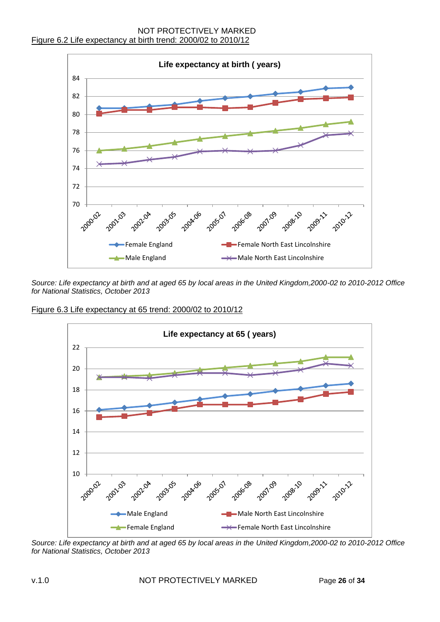

*Source: Life expectancy at birth and at aged 65 by local areas in the United Kingdom,2000-02 to 2010-2012 Office for National Statistics, October 2013*

Figure 6.3 Life expectancy at 65 trend: 2000/02 to 2010/12



*Source: Life expectancy at birth and at aged 65 by local areas in the United Kingdom,2000-02 to 2010-2012 Office for National Statistics, October 2013*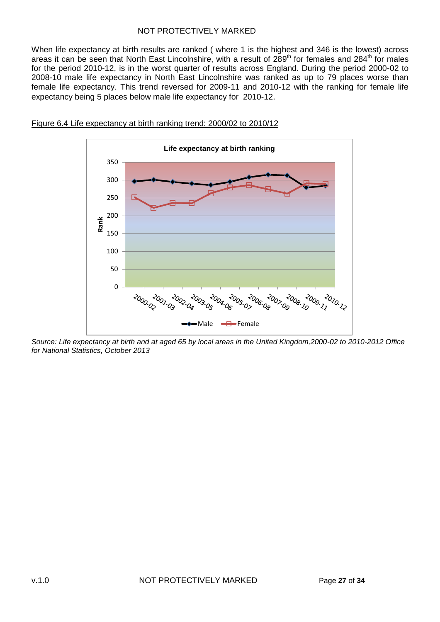When life expectancy at birth results are ranked ( where 1 is the highest and 346 is the lowest) across areas it can be seen that North East Lincolnshire, with a result of 289<sup>th</sup> for females and 284<sup>th</sup> for males for the period 2010-12, is in the worst quarter of results across England. During the period 2000-02 to 2008-10 male life expectancy in North East Lincolnshire was ranked as up to 79 places worse than female life expectancy. This trend reversed for 2009-11 and 2010-12 with the ranking for female life expectancy being 5 places below male life expectancy for 2010-12.



#### Figure 6.4 Life expectancy at birth ranking trend: 2000/02 to 2010/12

*Source: Life expectancy at birth and at aged 65 by local areas in the United Kingdom,2000-02 to 2010-2012 Office for National Statistics, October 2013*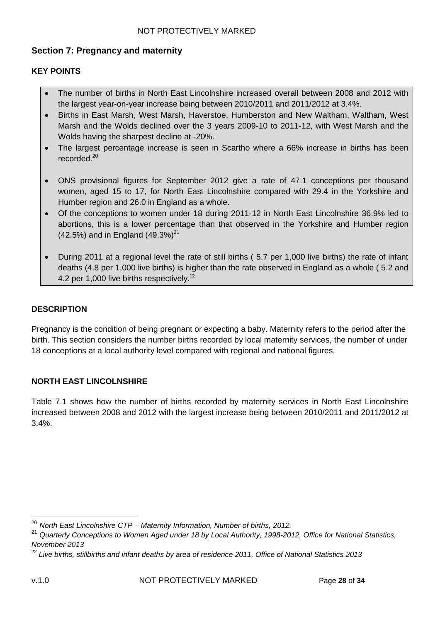# <span id="page-27-0"></span>**Section 7: Pregnancy and maternity**

# <span id="page-27-1"></span>**KEY POINTS**

- The number of births in North East Lincolnshire increased overall between 2008 and 2012 with the largest year-on-year increase being between 2010/2011 and 2011/2012 at 3.4%.
- Births in East Marsh, West Marsh, Haverstoe, Humberston and New Waltham, Waltham, West Marsh and the Wolds declined over the 3 years 2009-10 to 2011-12, with West Marsh and the Wolds having the sharpest decline at -20%.
- The largest percentage increase is seen in Scartho where a 66% increase in births has been recorded.<sup>20</sup>
- ONS provisional figures for September 2012 give a rate of 47.1 conceptions per thousand women, aged 15 to 17, for North East Lincolnshire compared with 29.4 in the Yorkshire and Humber region and 26.0 in England as a whole.
- Of the conceptions to women under 18 during 2011-12 in North East Lincolnshire 36.9% led to abortions, this is a lower percentage than that observed in the Yorkshire and Humber region (42.5%) and in England  $(49.3\%)^{21}$
- During 2011 at a regional level the rate of still births ( 5.7 per 1,000 live births) the rate of infant deaths (4.8 per 1,000 live births) is higher than the rate observed in England as a whole ( 5.2 and 4.2 per 1,000 live births respectively.<sup>22</sup>

#### <span id="page-27-2"></span>**DESCRIPTION**

Pregnancy is the condition of being pregnant or expecting a baby. Maternity refers to the period after the birth. This section considers the number births recorded by local maternity services, the number of under 18 conceptions at a local authority level compared with regional and national figures.

# <span id="page-27-3"></span>**NORTH EAST LINCOLNSHIRE**

Table 7.1 shows how the number of births recorded by maternity services in North East Lincolnshire increased between 2008 and 2012 with the largest increase being between 2010/2011 and 2011/2012 at 3.4%.

<sup>20</sup> *North East Lincolnshire CTP – Maternity Information, Number of births, 2012.*

<sup>21</sup> *Quarterly Conceptions to Women Aged under 18 by Local Authority, 1998-2012, Office for National Statistics, November 2013*

<sup>22</sup> *Live births, stillbirths and infant deaths by area of residence 2011, Office of National Statistics 2013*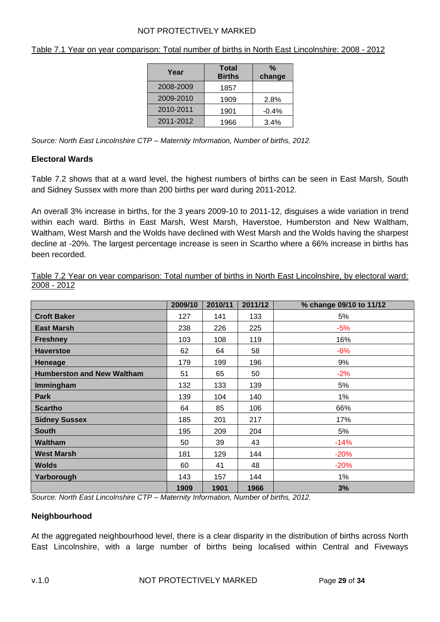| Year      | <b>Total</b><br><b>Births</b> | %<br>change |
|-----------|-------------------------------|-------------|
| 2008-2009 | 1857                          |             |
| 2009-2010 | 1909                          | 2.8%        |
| 2010-2011 | 1901                          | $-0.4%$     |
| 2011-2012 | 1966                          | 3.4%        |

Table 7.1 Year on year comparison: Total number of births in North East Lincolnshire: 2008 - 2012

*Source: North East Lincolnshire CTP – Maternity Information, Number of births, 2012.*

# <span id="page-28-0"></span>**Electoral Wards**

Table 7.2 shows that at a ward level, the highest numbers of births can be seen in East Marsh, South and Sidney Sussex with more than 200 births per ward during 2011-2012.

An overall 3% increase in births, for the 3 years 2009-10 to 2011-12, disguises a wide variation in trend within each ward. Births in East Marsh, West Marsh, Haverstoe, Humberston and New Waltham, Waltham, West Marsh and the Wolds have declined with West Marsh and the Wolds having the sharpest decline at -20%. The largest percentage increase is seen in Scartho where a 66% increase in births has been recorded.

|             |  | Table 7.2 Year on year comparison: Total number of births in North East Lincolnshire, by electoral ward: |  |  |  |  |  |  |
|-------------|--|----------------------------------------------------------------------------------------------------------|--|--|--|--|--|--|
| 2008 - 2012 |  |                                                                                                          |  |  |  |  |  |  |

|                                   | 2009/10 | 2010/11 | 2011/12 | % change 09/10 to 11/12 |
|-----------------------------------|---------|---------|---------|-------------------------|
| <b>Croft Baker</b>                | 127     | 141     | 133     | 5%                      |
| <b>East Marsh</b>                 | 238     | 226     | 225     | $-5%$                   |
| <b>Freshney</b>                   | 103     | 108     | 119     | 16%                     |
| <b>Haverstoe</b>                  | 62      | 64      | 58      | $-6%$                   |
| <b>Heneage</b>                    | 179     | 199     | 196     | 9%                      |
| <b>Humberston and New Waltham</b> | 51      | 65      | 50      | $-2%$                   |
| Immingham                         | 132     | 133     | 139     | 5%                      |
| Park                              | 139     | 104     | 140     | 1%                      |
| <b>Scartho</b>                    | 64      | 85      | 106     | 66%                     |
| <b>Sidney Sussex</b>              | 185     | 201     | 217     | 17%                     |
| <b>South</b>                      | 195     | 209     | 204     | 5%                      |
| <b>Waltham</b>                    | 50      | 39      | 43      | $-14%$                  |
| <b>West Marsh</b>                 | 181     | 129     | 144     | $-20%$                  |
| <b>Wolds</b>                      | 60      | 41      | 48      | $-20%$                  |
| Yarborough                        | 143     | 157     | 144     | 1%                      |
|                                   | 1909    | 1901    | 1966    | 3%                      |

*Source: North East Lincolnshire CTP – Maternity Information, Number of births, 2012.*

#### <span id="page-28-1"></span>**Neighbourhood**

At the aggregated neighbourhood level, there is a clear disparity in the distribution of births across North East Lincolnshire, with a large number of births being localised within Central and Fiveways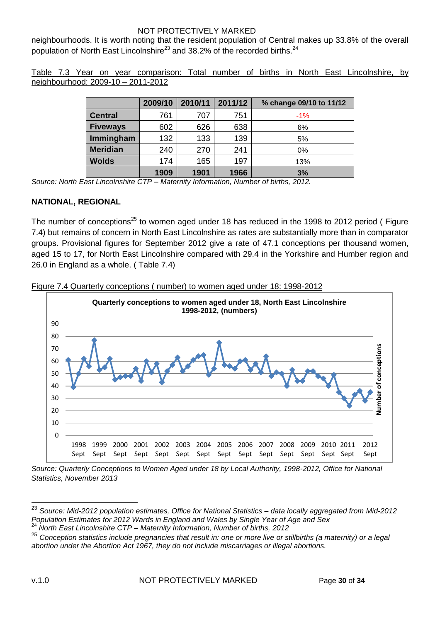neighbourhoods. It is worth noting that the resident population of Central makes up 33.8% of the overall population of North East Lincolnshire<sup>23</sup> and 38.2% of the recorded births.<sup>24</sup>

Table 7.3 Year on year comparison: Total number of births in North East Lincolnshire, by neighbourhood: 2009-10 – 2011-2012

|                 | 2009/10 | 2010/11 | 2011/12 | % change 09/10 to 11/12 |
|-----------------|---------|---------|---------|-------------------------|
| <b>Central</b>  | 761     | 707     | 751     | $-1\%$                  |
| <b>Fiveways</b> | 602     | 626     | 638     | 6%                      |
| Immingham       | 132     | 133     | 139     | 5%                      |
| <b>Meridian</b> | 240     | 270     | 241     | 0%                      |
| <b>Wolds</b>    | 174     | 165     | 197     | 13%                     |
|                 | 1909    | 1901    | 1966    | 3%                      |

*Source: North East Lincolnshire CTP – Maternity Information, Number of births, 2012.*

#### <span id="page-29-0"></span>**NATIONAL, REGIONAL**

The number of conceptions<sup>25</sup> to women aged under 18 has reduced in the 1998 to 2012 period (Figure 7.4) but remains of concern in North East Lincolnshire as rates are substantially more than in comparator groups. Provisional figures for September 2012 give a rate of 47.1 conceptions per thousand women, aged 15 to 17, for North East Lincolnshire compared with 29.4 in the Yorkshire and Humber region and 26.0 in England as a whole. ( Table 7.4)





*Source: Quarterly Conceptions to Women Aged under 18 by Local Authority, 1998-2012, Office for National Statistics, November 2013*

<sup>23</sup> *Source: Mid-2012 population estimates, Office for National Statistics – data locally aggregated from Mid-2012 Population Estimates for 2012 Wards in England and Wales by Single Year of Age and Sex*

<sup>24</sup> *North East Lincolnshire CTP – Maternity Information, Number of births, 2012*

<sup>25</sup> *Conception statistics include pregnancies that result in: one or more live or stillbirths (a maternity) or a legal abortion under the Abortion Act 1967, they do not include miscarriages or illegal abortions.*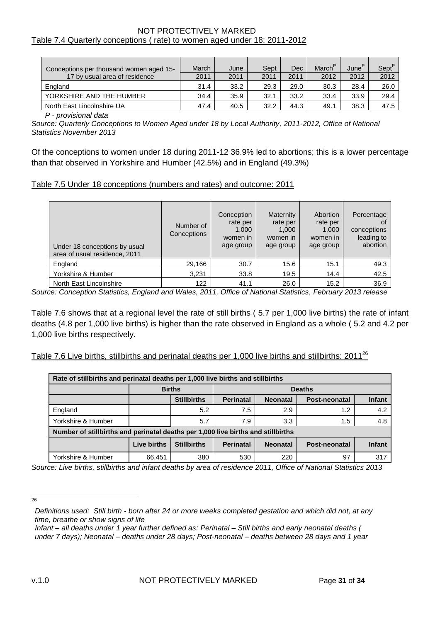#### NOT PROTECTIVELY MARKED Table 7.4 Quarterly conceptions ( rate) to women aged under 18: 2011-2012

| Conceptions per thousand women aged 15- | March | June | Sept | Dec  | March <sup>P</sup> | June' | Sept <sup>P</sup> |
|-----------------------------------------|-------|------|------|------|--------------------|-------|-------------------|
| 17 by usual area of residence           | 2011  | 2011 | 2011 | 2011 | 2012               | 2012  | 2012              |
| England                                 | 31.4  | 33.2 | 29.3 | 29.0 | 30.3               | 28.4  | 26.0              |
| YORKSHIRE AND THE HUMBER                | 34.4  | 35.9 | 32.1 | 33.2 | 33.4               | 33.9  | 29.4              |
| North East Lincolnshire UA              | 47.4  | 40.5 | 32.2 | 44.3 | 49.1               | 38.3  | 47.5              |

*P - provisional data*

*Source: Quarterly Conceptions to Women Aged under 18 by Local Authority, 2011-2012, Office of National Statistics November 2013*

Of the conceptions to women under 18 during 2011-12 36.9% led to abortions; this is a lower percentage than that observed in Yorkshire and Humber (42.5%) and in England (49.3%)

#### Table 7.5 Under 18 conceptions (numbers and rates) and outcome: 2011

| Under 18 conceptions by usual<br>area of usual residence, 2011 | Number of<br>Conceptions | Conception<br>rate per<br>1,000<br>women in<br>age group | Maternity<br>rate per<br>1,000<br>women in<br>age group | Abortion<br>rate per<br>1,000<br>women in<br>age group | Percentage<br>0f<br>conceptions<br>leading to<br>abortion |
|----------------------------------------------------------------|--------------------------|----------------------------------------------------------|---------------------------------------------------------|--------------------------------------------------------|-----------------------------------------------------------|
| England                                                        | 29,166                   | 30.7                                                     | 15.6                                                    | 15.1                                                   | 49.3                                                      |
| Yorkshire & Humber                                             | 3,231                    | 33.8                                                     | 19.5                                                    | 14.4                                                   | 42.5                                                      |
| North East Lincolnshire                                        | 122                      | 41.1                                                     | 26.0                                                    | 15.2                                                   | 36.9                                                      |

*Source: Conception Statistics, England and Wales, 2011, Office of National Statistics, February 2013 release*

Table 7.6 shows that at a regional level the rate of still births ( 5.7 per 1,000 live births) the rate of infant deaths (4.8 per 1,000 live births) is higher than the rate observed in England as a whole ( 5.2 and 4.2 per 1,000 live births respectively.

Table 7.6 Live births, stillbirths and perinatal deaths per 1,000 live births and stillbirths: 2011<sup>26</sup>

| Rate of stillbirths and perinatal deaths per 1,000 live births and stillbirths                             |                                |     |     |     |     |     |  |  |  |  |
|------------------------------------------------------------------------------------------------------------|--------------------------------|-----|-----|-----|-----|-----|--|--|--|--|
|                                                                                                            | <b>Births</b><br><b>Deaths</b> |     |     |     |     |     |  |  |  |  |
| <b>Stillbirths</b><br><b>Perinatal</b><br><b>Neonatal</b><br><b>Post-neonatal</b>                          |                                |     |     |     |     |     |  |  |  |  |
| England                                                                                                    |                                | 5.2 | 7.5 | 2.9 | 1.2 | 4.2 |  |  |  |  |
| Yorkshire & Humber                                                                                         |                                | 5.7 | 7.9 | 3.3 | 1.5 | 4.8 |  |  |  |  |
| Number of stillbirths and perinatal deaths per 1,000 live births and stillbirths                           |                                |     |     |     |     |     |  |  |  |  |
| Live births<br><b>Stillbirths</b><br><b>Perinatal</b><br><b>Neonatal</b><br><b>Infant</b><br>Post-neonatal |                                |     |     |     |     |     |  |  |  |  |
| Yorkshire & Humber                                                                                         | 66,451                         | 380 | 530 | 220 | 97  | 317 |  |  |  |  |

*Source: Live births, stillbirths and infant deaths by area of residence 2011, Office of National Statistics 2013*

-<br>26

*Definitions used: Still birth - born after 24 or more weeks completed gestation and which did not, at any time, breathe or show signs of life*

*Infant – all deaths under 1 year further defined as: Perinatal – Still births and early neonatal deaths ( under 7 days); Neonatal – deaths under 28 days; Post-neonatal – deaths between 28 days and 1 year*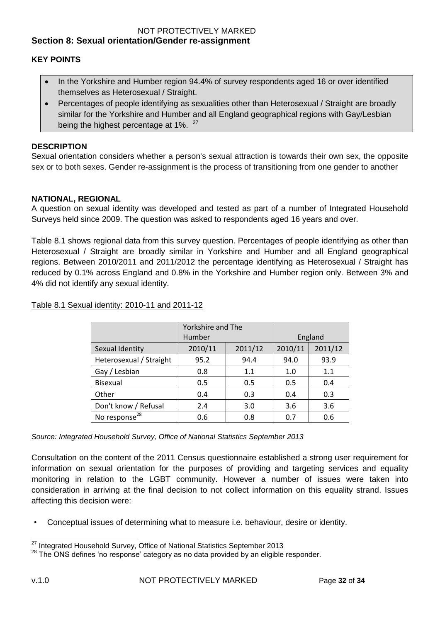#### <span id="page-31-1"></span><span id="page-31-0"></span>**KEY POINTS**

- In the Yorkshire and Humber region 94.4% of survey respondents aged 16 or over identified themselves as Heterosexual / Straight.
- Percentages of people identifying as sexualities other than Heterosexual / Straight are broadly similar for the Yorkshire and Humber and all England geographical regions with Gay/Lesbian being the highest percentage at 1%.<sup>27</sup>

#### <span id="page-31-2"></span>**DESCRIPTION**

Sexual orientation considers whether a person's sexual attraction is towards their own sex, the opposite sex or to both sexes. Gender re-assignment is the process of transitioning from one gender to another

#### <span id="page-31-3"></span>**NATIONAL, REGIONAL**

A question on sexual identity was developed and tested as part of a number of Integrated Household Surveys held since 2009. The question was asked to respondents aged 16 years and over.

Table 8.1 shows regional data from this survey question. Percentages of people identifying as other than Heterosexual / Straight are broadly similar in Yorkshire and Humber and all England geographical regions. Between 2010/2011 and 2011/2012 the percentage identifying as Heterosexual / Straight has reduced by 0.1% across England and 0.8% in the Yorkshire and Humber region only. Between 3% and 4% did not identify any sexual identity.

|                           | Yorkshire and The |         |         |         |  |
|---------------------------|-------------------|---------|---------|---------|--|
|                           | Humber            |         | England |         |  |
| Sexual Identity           | 2010/11           | 2011/12 | 2010/11 | 2011/12 |  |
| Heterosexual / Straight   | 95.2              | 94.4    | 94.0    | 93.9    |  |
| Gay / Lesbian             | 0.8               | 1.1     | 1.0     | 1.1     |  |
| Bisexual                  | 0.5               | 0.5     | 0.5     | 0.4     |  |
| Other                     | 0.4               | 0.3     | 0.4     | 0.3     |  |
| Don't know / Refusal      | 2.4               | 3.0     | 3.6     | 3.6     |  |
| No response <sup>28</sup> | 0.6               | 0.8     | 0.7     | 0.6     |  |

#### Table 8.1 Sexual identity: 2010-11 and 2011-12

*Source: Integrated Household Survey, Office of National Statistics September 2013*

Consultation on the content of the 2011 Census questionnaire established a strong user requirement for information on sexual orientation for the purposes of providing and targeting services and equality monitoring in relation to the LGBT community. However a number of issues were taken into consideration in arriving at the final decision to not collect information on this equality strand. Issues affecting this decision were:

• Conceptual issues of determining what to measure i.e. behaviour, desire or identity.

 $\overline{\phantom{a}}$  $^{27}$  Integrated Household Survey, Office of National Statistics September 2013

 $28$  The ONS defines 'no response' category as no data provided by an eligible responder.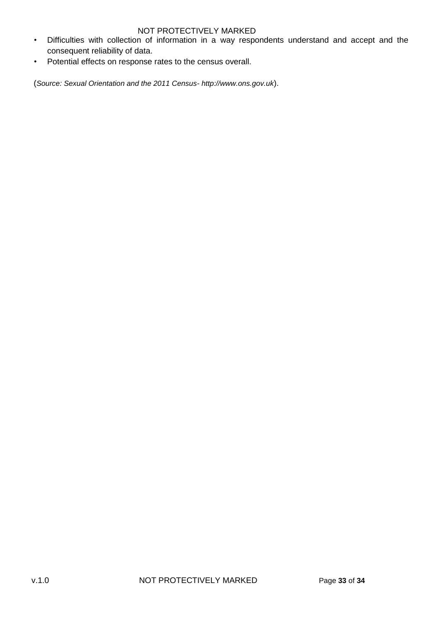- Difficulties with collection of information in a way respondents understand and accept and the consequent reliability of data.
- Potential effects on response rates to the census overall.

(*Source: Sexual Orientation and the 2011 Census- http://www.ons.gov.uk*).